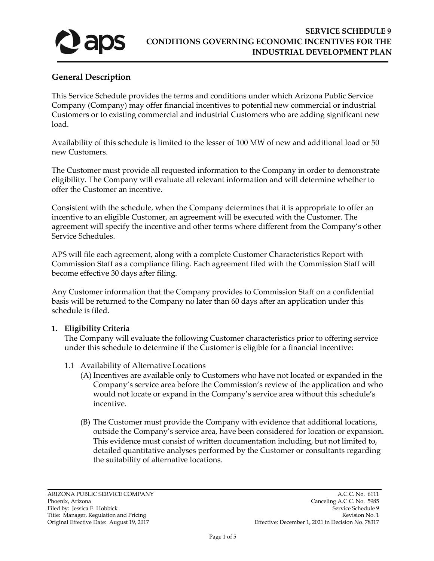

# **General Description**

This Service Schedule provides the terms and conditions under which Arizona Public Service Company (Company) may offer financial incentives to potential new commercial or industrial Customers or to existing commercial and industrial Customers who are adding significant new load.

Availability of this schedule is limited to the lesser of 100 MW of new and additional load or 50 new Customers.

The Customer must provide all requested information to the Company in order to demonstrate eligibility. The Company will evaluate all relevant information and will determine whether to offer the Customer an incentive.

Consistent with the schedule, when the Company determines that it is appropriate to offer an incentive to an eligible Customer, an agreement will be executed with the Customer. The agreement will specify the incentive and other terms where different from the Company's other Service Schedules.

APS will file each agreement, along with a complete Customer Characteristics Report with Commission Staff as a compliance filing. Each agreement filed with the Commission Staff will become effective 30 days after filing.

Any Customer information that the Company provides to Commission Staff on a confidential basis will be returned to the Company no later than 60 days after an application under this schedule is filed.

## **1. Eligibility Criteria**

The Company will evaluate the following Customer characteristics prior to offering service under this schedule to determine if the Customer is eligible for a financial incentive:

- 1.1 Availability of Alternative Locations
	- (A) Incentives are available only to Customers who have not located or expanded in the Company's service area before the Commission's review of the application and who would not locate or expand in the Company's service area without this schedule's incentive.
	- (B) The Customer must provide the Company with evidence that additional locations, outside the Company's service area, have been considered for location or expansion. This evidence must consist of written documentation including, but not limited to, detailed quantitative analyses performed by the Customer or consultants regarding the suitability of alternative locations.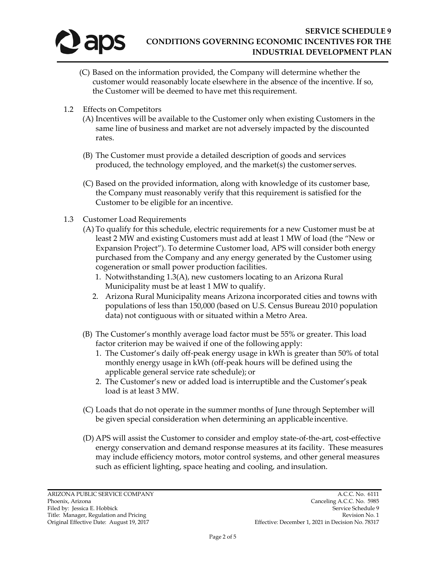

- (C) Based on the information provided, the Company will determine whether the customer would reasonably locate elsewhere in the absence of the incentive. If so, the Customer will be deemed to have met this requirement.
- 1.2 Effects on Competitors
	- (A) Incentives will be available to the Customer only when existing Customers in the same line of business and market are not adversely impacted by the discounted rates.
	- (B) The Customer must provide a detailed description of goods and services produced, the technology employed, and the market(s) the customer serves.
	- (C) Based on the provided information, along with knowledge of its customer base, the Company must reasonably verify that this requirement is satisfied for the Customer to be eligible for an incentive.
- 1.3 Customer Load Requirements
	- (A) To qualify for this schedule, electric requirements for a new Customer must be at least 2 MW and existing Customers must add at least 1 MW of load (the "New or Expansion Project"). To determine Customer load, APS will consider both energy purchased from the Company and any energy generated by the Customer using cogeneration or small power production facilities.
		- 1. Notwithstanding 1.3(A), new customers locating to an Arizona Rural Municipality must be at least 1 MW to qualify.
		- 2. Arizona Rural Municipality means Arizona incorporated cities and towns with populations of less than 150,000 (based on U.S. Census Bureau 2010 population data) not contiguous with or situated within a Metro Area.
	- (B) The Customer's monthly average load factor must be 55% or greater. This load factor criterion may be waived if one of the following apply:
		- 1. The Customer's daily off-peak energy usage in kWh is greater than 50% of total monthly energy usage in kWh (off-peak hours will be defined using the applicable general service rate schedule); or
		- 2. The Customer's new or added load is interruptible and the Customer'speak load is at least 3 MW.
	- (C) Loads that do not operate in the summer months of June through September will be given special consideration when determining an applicable incentive.
	- (D) APS will assist the Customer to consider and employ state-of-the-art, cost-effective energy conservation and demand response measures at its facility. These measures may include efficiency motors, motor control systems, and other general measures such as efficient lighting, space heating and cooling, and insulation.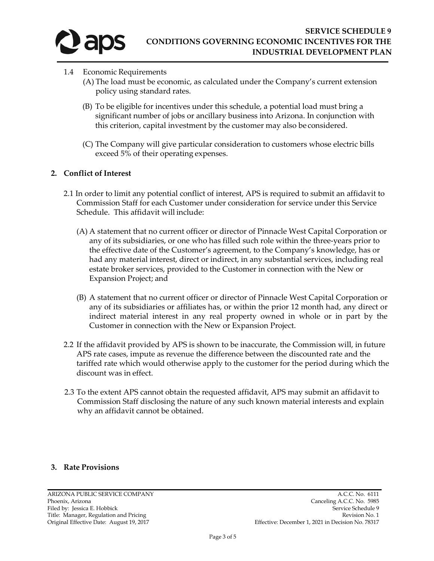

- 1.4 Economic Requirements
	- (A) The load must be economic, as calculated under the Company's current extension policy using standard rates.
	- (B) To be eligible for incentives under this schedule, a potential load must bring a significant number of jobs or ancillary business into Arizona. In conjunction with this criterion, capital investment by the customer may also be considered.
	- (C) The Company will give particular consideration to customers whose electric bills exceed 5% of their operating expenses.

## **2. Conflict of Interest**

- 2.1 In order to limit any potential conflict of interest, APS is required to submit an affidavit to Commission Staff for each Customer under consideration for service under this Service Schedule. This affidavit will include:
	- (A) A statement that no current officer or director of Pinnacle West Capital Corporation or any of its subsidiaries, or one who has filled such role within the three-years prior to the effective date of the Customer's agreement, to the Company's knowledge, has or had any material interest, direct or indirect, in any substantial services, including real estate broker services, provided to the Customer in connection with the New or Expansion Project; and
	- (B) A statement that no current officer or director of Pinnacle West Capital Corporation or any of its subsidiaries or affiliates has, or within the prior 12 month had, any direct or indirect material interest in any real property owned in whole or in part by the Customer in connection with the New or Expansion Project.
- 2.2 If the affidavit provided by APS is shown to be inaccurate, the Commission will, in future APS rate cases, impute as revenue the difference between the discounted rate and the tariffed rate which would otherwise apply to the customer for the period during which the discount was in effect.
- 2.3 To the extent APS cannot obtain the requested affidavit, APS may submit an affidavit to Commission Staff disclosing the nature of any such known material interests and explain why an affidavit cannot be obtained.

## **3. Rate Provisions**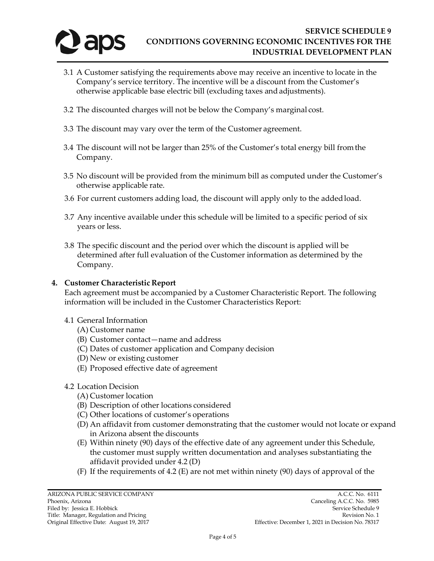

- 3.1 A Customer satisfying the requirements above may receive an incentive to locate in the Company's service territory. The incentive will be a discount from the Customer's otherwise applicable base electric bill (excluding taxes and adjustments).
- 3.2 The discounted charges will not be below the Company's marginal cost.
- 3.3 The discount may vary over the term of the Customer agreement.
- 3.4 The discount will not be larger than 25% of the Customer's total energy bill from the Company.
- 3.5 No discount will be provided from the minimum bill as computed under the Customer's otherwise applicable rate.
- 3.6 For current customers adding load, the discount will apply only to the added load.
- 3.7 Any incentive available under this schedule will be limited to a specific period of six years or less.
- 3.8 The specific discount and the period over which the discount is applied will be determined after full evaluation of the Customer information as determined by the Company.

#### **4. Customer Characteristic Report**

Each agreement must be accompanied by a Customer Characteristic Report. The following information will be included in the Customer Characteristics Report:

- 4.1 General Information
	- (A) Customer name
	- (B) Customer contact—name and address
	- (C) Dates of customer application and Company decision
	- (D) New or existing customer
	- (E) Proposed effective date of agreement
- 4.2 Location Decision
	- (A) Customer location
	- (B) Description of other locations considered
	- (C) Other locations of customer's operations
	- (D) An affidavit from customer demonstrating that the customer would not locate or expand in Arizona absent the discounts
	- (E) Within ninety (90) days of the effective date of any agreement under this Schedule, the customer must supply written documentation and analyses substantiating the affidavit provided under 4.2 (D)
	- (F) If the requirements of 4.2 (E) are not met within ninety (90) days of approval of the